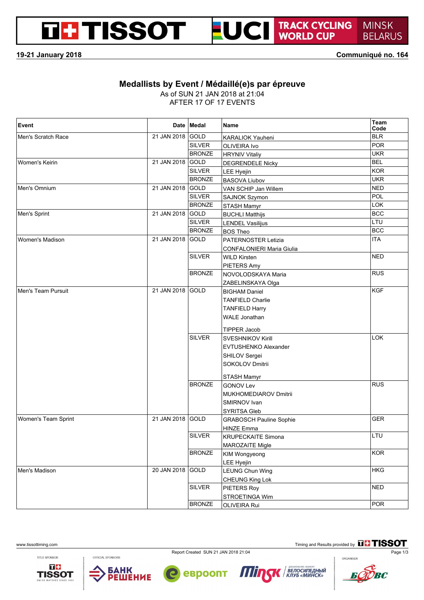# **DE TISSOT**



TRACK CYCLING<br>WORLD CUP **MINSK BELARUS** 

**19-21 January 2018 Communiqué no. 164**

#### **Medallists by Event / Médaillé(e)s par épreuve**

As of SUN 21 JAN 2018 at 21:04

AFTER 17 OF 17 EVENTS

| Event               |                  | Date Medal    | <b>Name</b>                      | Team<br>Code |
|---------------------|------------------|---------------|----------------------------------|--------------|
| Men's Scratch Race  | 21 JAN 2018 GOLD |               | <b>KARALIOK Yauheni</b>          | <b>BLR</b>   |
|                     |                  | <b>SILVER</b> | OLIVEIRA Ivo                     | <b>POR</b>   |
|                     |                  | <b>BRONZE</b> | <b>HRYNIV Vitaliy</b>            | <b>UKR</b>   |
| Women's Keirin      | 21 JAN 2018 GOLD |               | <b>DEGRENDELE Nicky</b>          | <b>BEL</b>   |
|                     |                  | <b>SILVER</b> | LEE Hyejin                       | <b>KOR</b>   |
|                     |                  | <b>BRONZE</b> | <b>BASOVA Liubov</b>             | <b>UKR</b>   |
| Men's Omnium        | 21 JAN 2018 GOLD |               | VAN SCHIP Jan Willem             | <b>NED</b>   |
|                     |                  | <b>SILVER</b> | <b>SAJNOK Szymon</b>             | POL          |
|                     |                  | <b>BRONZE</b> | <b>STASH Mamyr</b>               | <b>LOK</b>   |
| Men's Sprint        | 21 JAN 2018 GOLD |               | <b>BUCHLI Matthijs</b>           | <b>BCC</b>   |
|                     |                  | <b>SILVER</b> | <b>LENDEL Vasilijus</b>          | LTU          |
|                     |                  | <b>BRONZE</b> | <b>BOS Theo</b>                  | <b>BCC</b>   |
| Women's Madison     | 21 JAN 2018 GOLD |               | <b>PATERNOSTER Letizia</b>       | <b>ITA</b>   |
|                     |                  |               | <b>CONFALONIERI Maria Giulia</b> |              |
|                     |                  | <b>SILVER</b> | <b>WILD Kirsten</b>              | <b>NED</b>   |
|                     |                  |               | <b>PIETERS Amy</b>               |              |
|                     |                  | <b>BRONZE</b> | NOVOLODSKAYA Maria               | <b>RUS</b>   |
|                     |                  |               | ZABELINSKAYA Olga                |              |
| Men's Team Pursuit  | 21 JAN 2018 GOLD |               | <b>BIGHAM Daniel</b>             | KGF          |
|                     |                  |               | <b>TANFIELD Charlie</b>          |              |
|                     |                  |               | <b>TANFIELD Harry</b>            |              |
|                     |                  |               | <b>WALE Jonathan</b>             |              |
|                     |                  |               | <b>TIPPER Jacob</b>              |              |
|                     |                  | <b>SILVER</b> | <b>SVESHNIKOV Kirill</b>         | <b>LOK</b>   |
|                     |                  |               | <b>EVTUSHENKO Alexander</b>      |              |
|                     |                  |               | SHILOV Sergei                    |              |
|                     |                  |               | SOKOLOV Dmitrii                  |              |
|                     |                  |               | <b>STASH Mamyr</b>               |              |
|                     |                  | <b>BRONZE</b> | <b>GONOV Lev</b>                 | <b>RUS</b>   |
|                     |                  |               | MUKHOMEDIAROV Dmitrii            |              |
|                     |                  |               | SMIRNOV Ivan                     |              |
|                     |                  |               | <b>SYRITSA Gleb</b>              |              |
| Women's Team Sprint | 21 JAN 2018 GOLD |               | <b>GRABOSCH Pauline Sophie</b>   | <b>GER</b>   |
|                     |                  |               | <b>HINZE Emma</b>                |              |
|                     |                  | <b>SILVER</b> | <b>KRUPECKAITE Simona</b>        | LTU          |
|                     |                  |               | <b>MAROZAITE Migle</b>           |              |
|                     |                  | <b>BRONZE</b> | <b>KIM Wongyeong</b>             | <b>KOR</b>   |
|                     |                  |               | LEE Hyejin                       |              |
| Men's Madison       | 20 JAN 2018 GOLD |               | <b>LEUNG Chun Wing</b>           | <b>HKG</b>   |
|                     |                  |               | CHEUNG King Lok                  |              |
|                     |                  | <b>SILVER</b> | PIETERS Roy                      | <b>NED</b>   |
|                     |                  |               | STROETINGA Wim                   |              |
|                     |                  | <b>BRONZE</b> | OLIVEIRA Rui                     | <b>POR</b>   |

www.tissottiming.com **Timing and Results provided by** 

ВЕЛОСИПЕДНЫЙ<br>КЛУБ «МИНСК»

TITLE SPONSOR





OFFICIAL SPONSORS



евроопт

 $\bullet$ 

 $\boldsymbol{H}$ 

K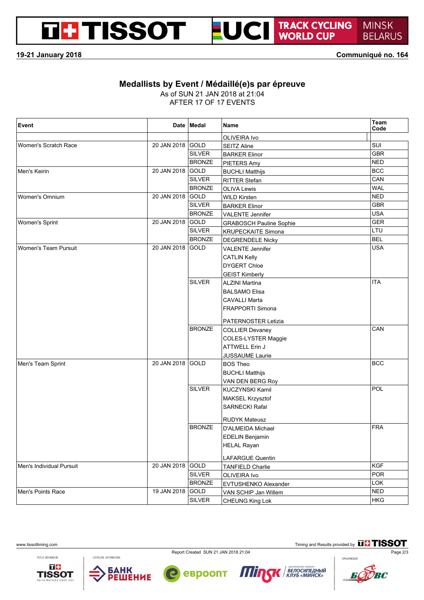# **DE TISSOT**



TRACK CYCLING<br>WORLD CUP **MINSK BELARUS** 

**19-21 January 2018 Communiqué no. 164**

#### **Medallists by Event / Médaillé(e)s par épreuve**

As of SUN 21 JAN 2018 at 21:04

AFTER 17 OF 17 EVENTS

| <b>Event</b>                |                  | Date Medal    | <b>Name</b>                    | Team<br>Code |
|-----------------------------|------------------|---------------|--------------------------------|--------------|
|                             |                  |               | OLIVEIRA Ivo                   |              |
| Women's Scratch Race        | 20 JAN 2018 GOLD |               | <b>SEITZ Aline</b>             | SUI          |
|                             |                  | <b>SILVER</b> | <b>BARKER Elinor</b>           | <b>GBR</b>   |
|                             |                  | <b>BRONZE</b> | PIETERS Amy                    | <b>NED</b>   |
| Men's Keirin                | 20 JAN 2018 GOLD |               | <b>BUCHLI Matthijs</b>         | <b>BCC</b>   |
|                             |                  | <b>SILVER</b> | <b>RITTER Stefan</b>           | CAN          |
|                             |                  | <b>BRONZE</b> | <b>OLIVA Lewis</b>             | <b>WAL</b>   |
| Women's Omnium              | 20 JAN 2018 GOLD |               | <b>WILD Kirsten</b>            | <b>NED</b>   |
|                             |                  | <b>SILVER</b> | <b>BARKER Elinor</b>           | <b>GBR</b>   |
|                             |                  | <b>BRONZE</b> | <b>VALENTE Jennifer</b>        | <b>USA</b>   |
| Women's Sprint              | 20 JAN 2018 GOLD |               | <b>GRABOSCH Pauline Sophie</b> | <b>GER</b>   |
|                             |                  | <b>SILVER</b> | <b>KRUPECKAITE Simona</b>      | LTU          |
|                             |                  | <b>BRONZE</b> | <b>DEGRENDELE Nicky</b>        | <b>BEL</b>   |
| <b>Women's Team Pursuit</b> | 20 JAN 2018 GOLD |               | <b>VALENTE Jennifer</b>        | <b>USA</b>   |
|                             |                  |               | <b>CATLIN Kelly</b>            |              |
|                             |                  |               | <b>DYGERT Chloe</b>            |              |
|                             |                  |               | <b>GEIST Kimberly</b>          |              |
|                             |                  | <b>SILVER</b> | <b>ALZINI Martina</b>          | <b>ITA</b>   |
|                             |                  |               | <b>BALSAMO Elisa</b>           |              |
|                             |                  |               | <b>CAVALLI Marta</b>           |              |
|                             |                  |               | <b>FRAPPORTI Simona</b>        |              |
|                             |                  |               | PATERNOSTER Letizia            |              |
|                             |                  | <b>BRONZE</b> | <b>COLLIER Devaney</b>         | CAN          |
|                             |                  |               | <b>COLES-LYSTER Maggie</b>     |              |
|                             |                  |               | <b>ATTWELL Erin J</b>          |              |
|                             |                  |               | <b>JUSSAUME Laurie</b>         |              |
| Men's Team Sprint           | 20 JAN 2018 GOLD |               | BOS Theo                       | <b>BCC</b>   |
|                             |                  |               | <b>BUCHLI Matthijs</b>         |              |
|                             |                  |               | VAN DEN BERG Roy               |              |
|                             |                  | <b>SILVER</b> | KUCZYNSKI Kamil                | POL          |
|                             |                  |               | MAKSEL Krzysztof               |              |
|                             |                  |               | <b>SARNECKI Rafal</b>          |              |
|                             |                  |               | <b>RUDYK Mateusz</b>           |              |
|                             |                  | <b>BRONZE</b> | <b>D'ALMEIDA Michael</b>       | <b>FRA</b>   |
|                             |                  |               | <b>EDELIN Benjamin</b>         |              |
|                             |                  |               | <b>HELAL Rayan</b>             |              |
|                             |                  |               | LAFARGUE Quentin               |              |
| Men's Individual Pursuit    | 20 JAN 2018 GOLD |               | <b>TANFIELD Charlie</b>        | <b>KGF</b>   |
|                             |                  | <b>SILVER</b> | OLIVEIRA Ivo                   | <b>POR</b>   |
|                             |                  | <b>BRONZE</b> | <b>EVTUSHENKO Alexander</b>    | <b>LOK</b>   |
| Men's Points Race           | 19 JAN 2018 GOLD |               | VAN SCHIP Jan Willem           | <b>NED</b>   |
|                             |                  | <b>SILVER</b> | CHEUNG King Lok                | <b>HKG</b>   |

Report Created SUN 21 JAN 2018 21:04 Page 2/3 Page 2/3

 $\boldsymbol{H}$ 

евроопт

www.tissottiming.com **Timing and Results provided by** 

TITLE SPONSOR